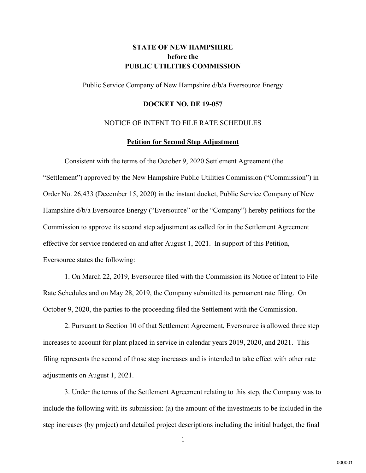# **STATE OF NEW HAMPSHIRE before the PUBLIC UTILITIES COMMISSION**

Public Service Company of New Hampshire d/b/a Eversource Energy

#### **DOCKET NO. DE 19-057**

### NOTICE OF INTENT TO FILE RATE SCHEDULES

#### **Petition for Second Step Adjustment**

Consistent with the terms of the October 9, 2020 Settlement Agreement (the "Settlement") approved by the New Hampshire Public Utilities Commission ("Commission") in Order No. 26,433 (December 15, 2020) in the instant docket, Public Service Company of New Hampshire  $d/b/a$  Eversource Energy ("Eversource" or the "Company") hereby petitions for the Commission to approve its second step adjustment as called for in the Settlement Agreement effective for service rendered on and after August 1, 2021. In support of this Petition, Eversource states the following:

1. On March 22, 2019, Eversource filed with the Commission its Notice of Intent to File Rate Schedules and on May 28, 2019, the Company submitted its permanent rate filing. On October 9, 2020, the parties to the proceeding filed the Settlement with the Commission.

2. Pursuant to Section 10 of that Settlement Agreement, Eversource is allowed three step increases to account for plant placed in service in calendar years 2019, 2020, and 2021. This filing represents the second of those step increases and is intended to take effect with other rate adjustments on August 1, 2021.

3. Under the terms of the Settlement Agreement relating to this step, the Company was to include the following with its submission: (a) the amount of the investments to be included in the step increases (by project) and detailed project descriptions including the initial budget, the final

1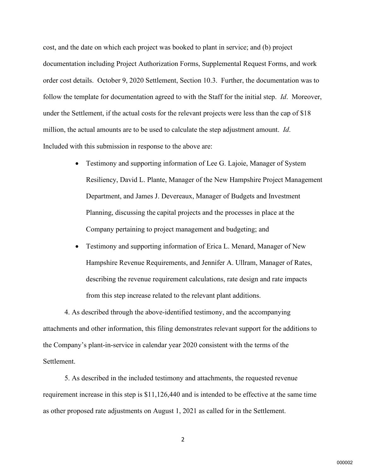cost, and the date on which each project was booked to plant in service; and (b) project documentation including Project Authorization Forms, Supplemental Request Forms, and work order cost details. October 9, 2020 Settlement, Section 10.3. Further, the documentation was to follow the template for documentation agreed to with the Staff for the initial step. *Id*. Moreover, under the Settlement, if the actual costs for the relevant projects were less than the cap of \$18 million, the actual amounts are to be used to calculate the step adjustment amount. *Id*. Included with this submission in response to the above are:

- Testimony and supporting information of Lee G. Lajoie, Manager of System Resiliency, David L. Plante, Manager of the New Hampshire Project Management Department, and James J. Devereaux, Manager of Budgets and Investment Planning, discussing the capital projects and the processes in place at the Company pertaining to project management and budgeting; and
- Testimony and supporting information of Erica L. Menard, Manager of New Hampshire Revenue Requirements, and Jennifer A. Ullram, Manager of Rates, describing the revenue requirement calculations, rate design and rate impacts from this step increase related to the relevant plant additions.

4. As described through the above-identified testimony, and the accompanying attachments and other information, this filing demonstrates relevant support for the additions to the Company's plant-in-service in calendar year 2020 consistent with the terms of the Settlement.

5. As described in the included testimony and attachments, the requested revenue requirement increase in this step is \$11,126,440 and is intended to be effective at the same time as other proposed rate adjustments on August 1, 2021 as called for in the Settlement.

2